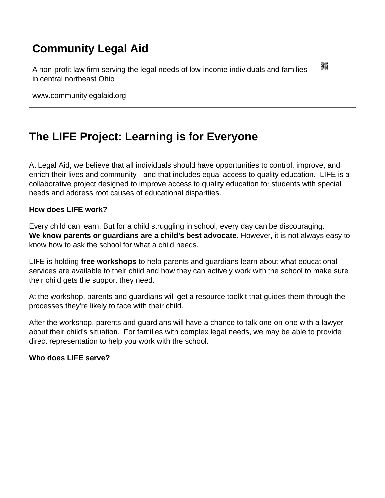## [Community Legal Aid](https://www.communitylegalaid.org/)

A non-profit law firm serving the legal needs of low-income individuals and families in central northeast Ohio

www.communitylegalaid.org

## [The LIFE Project: Learning is for Everyone](https://www.communitylegalaid.org/www.communitylegalaid.org/life)

At Legal Aid, we believe that all individuals should have opportunities to control, improve, and enrich their lives and community - and that includes equal access to quality education. LIFE is a collaborative project designed to improve access to quality education for students with special needs and address root causes of educational disparities.

How does LIFE work?

Every child can learn. But for a child struggling in school, every day can be discouraging. We know parents or guardians are a child's best advocate. However, it is not always easy to know how to ask the school for what a child needs.

LIFE is holding free workshops to help parents and guardians learn about what educational services are available to their child and how they can actively work with the school to make sure their child gets the support they need.

At the workshop, parents and guardians will get a resource toolkit that guides them through the processes they're likely to face with their child.

After the workshop, parents and guardians will have a chance to talk one-on-one with a lawyer about their child's situation. For families with complex legal needs, we may be able to provide direct representation to help you work with the school.

Who does LIFF serve?